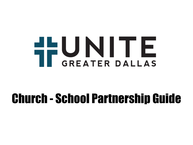# THUNITE

## Church - School Partnership Guide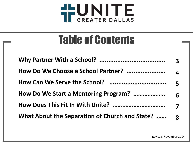

### Table of Contents

| How Do We Choose a School Partner?                | $\overline{4}$ |
|---------------------------------------------------|----------------|
|                                                   |                |
|                                                   |                |
|                                                   |                |
| What About the Separation of Church and State?  8 |                |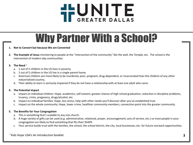

### Why Partner With a School?

#### **1. Not to Convert but because We are Converted**

**2. The Example of Jesus** ministering to people at the "intersection of the community" like the well, the Temple, etc. The school is the intersection of modern-day communities.

#### **3. The Need** <sup>1</sup>

- a. 1 out of 5 children in the US lives in poverty.
- b. 2 out of 5 children in the US live in a single-parent home.
- c. American children are more likely to be murdered, poor, pregnant, drug-dependent, or incarcerated than the children of any other industrialized country.
- d. Their ability to learn is seriously impaired if they do not have a relationship with at least one adult who cares.

#### **4. The Potential Impact**

- a. Impact on individual children: Hope, academics, self-esteem, greater chance of high school graduation, reduction in discipline problems, truancy, crime, pregnancy, drugs/alcohol, etc.
- b. Impact on individual families: Hope, less stress, help with other needs you'll discover after you've established trust.
- c. Impact on the whole community: Hope, lower crime, healthier community members, connection point into the greater community.

#### **5. The Benefits for Your Congregation**

- a. This is something that's scalable to any size church.
- b. A huge variety of gifts can be used (e.g. administrative, relational, prayer, encouragement, acts of service, etc.) so most people in your congregation are likely to find something that fits their SHAPE.
- c. Your service builds trust with the families, the school, the school district, the city, local businesses, etc. for future outreach opportunities.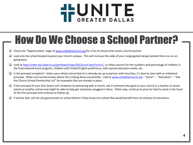

### How Do We Choose a School Partner?

- $\Box$  Check the "Opportunities" page of [www.unitethechurch.org](http://www.unitethechurch.org/) for a list of schools that need a church partner.
- $\Box$  Look into the school located nearest your church campus. This will increase the odds of your congregation being involved there on an ongoing basis.
- Look at<http://ritter.tea.state.tx.us/perfreport/tapr/2013/srch.html?srch=C> or other sources for the numbers and percentage of children in the free/reduced lunch program, children with limited English proficiency, with special education needs, etc.
- $\Box$  Is the principal receptive? Unless your whole school district is already set up to partner with churches, it's best to start with an individual principal. Make sure he/she knows where this is being done successfully. Look at [www.unitethechurch.org](http://www.unitethechurch.org/) – "Serve" – "Education" – "See the Church-School Partnership List" for examples that are already in place.
- $\Box$  If the principal of your first choice isn't receptive to partnering with a church, see if someone who goes to your church is a teacher or active parent at another school and might be able to help get volunteers plugged in there. Either way, continue to pray for God to work in the heart of the first principal and continue to follow-up.
- $\Box$  If all else fails, ask the city government or school district if they know of a school that would benefit from an infusion of volunteers.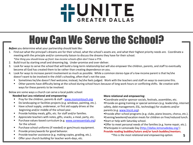

### How Can We Serve the School?

*Before* you determine what your partnership should look like:

1. Find out what the principal's dreams are for their school, what the school's assets are, and what their highest priority needs are. Coordinate a meeting with the principle and/or community liaison to discuss the dreams they have for their school.

*\*One thing you should know up front: low-income schools often don't have a PTA.*

- 2. Build trust by starting small and dreaming big. Under-promise and over-deliver.
- 3. Look for ways to serve the school that will build a long-term relationship but will also empower the children, parents, and staff to eventually become all God has created them to be rather than creating dependence on you.
- 4. Look for ways to increase parent involvement as much as possible. While a common stereo-type of a low-income parent is that he/she doesn't want to be involved in the child's schooling, often that's not the case.
	- Sometimes he/she doesn't feel welcome; instead, he/she feels judged. Work with the teachers and staff on ways to overcome this.
	- Other parents have difficulty being at the school during school hours because of long work hours or conflicting shifts. Be creative with ways for these parents to be involved.

Below are some ways a church can serve a local public school:

#### **Needed but Less relational and empowering:**

- **Pray for the children, parents & staff [www.momsintouch.org](http://www.momsintouch.org/).**
- Do landscaping or facilities projects (e.g. windows, painting, etc.).
- Have school supply, underwear, or first aid supply drives at the beginning and/or middle of the school year.
- **Provide holiday meals, gifts, etc. for staff and/or families.**
- **Appreciate teachers with notes, gifts, snacks, a meal, party, etc.**
- **Purchase values-based curriculum (e.g. [www.coreessentials.org\)](http://www.coreessentials.org/)** for the school.
- Purchase school uniforms (if needed) or gym/music equipment.
- **Provide prizes/awards for good behavior.**
- **Provide teacher assistance (e.g. making copies, grading, etc.).**
- **Offer your church building for teacher work-days, etc.**

#### **More relational and empowering:**

Coordinate and/or sponsor socials, festivals, assemblies, etc. Provide on-going training or special seminars (e.g. leadership, internet safety, debt management, ESL, technology) for students and/or parents (e.g. [www.lincnt.org](http://www.lincnt.org/)).

- Provide after-school programs (e.g. clubs, piano lessons, chorus, etc.).
- Evening/weekend/vacation meals for children on free/reduced lunch. Start or help with Saturday school.
- Offer to meet personal needs of the families (e.g. home repair, etc.). Participate in Lemonade Day [\(http://dallas.lemonadeday.org/](http://dallas.lemonadeday.org/))

#### **Provide reading buddies/tutors and/or lunch buddies/mentors.**

 *\*This is the most relational and empowering option.* **5**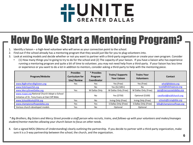

### How Do We Start a Mentoring Program?

- 1. Identify a liaison a high-level volunteer who will serve as your connection point to the school.
- 2. Find out if the school already has a mentoring program that they would just like for you to plug volunteers into.
- 3. Look at existing models and decide whether or not you want to partner with a third-party organization or create your own program. Consider
	- (1) How many things you're going to try to do for the school and (2) The capacity of your liaison. If you have a liaison who has experience running a mentoring program and quite a bit of time to volunteer, you may not need help from a third-party. If your liaison has less time or experience or you want to do a lot in addition to mentors, consider asking a third-party to help with the mentoring piece.

| Program/Website                                 | <b>Provides</b><br><b>Curriculum for</b><br>Use/Review | * Provides<br>Program<br><b>Coordinator</b> | <b>Trains/Supports</b><br><b>Your Liaison</b> | <b>Trains Your</b><br><b>Volunteers</b> | Contact                   |
|-------------------------------------------------|--------------------------------------------------------|---------------------------------------------|-----------------------------------------------|-----------------------------------------|---------------------------|
| www.BigBrothersBigSisters.org                   | <b>Yes</b>                                             | Yes                                         | Yes (Free)                                    | Yes (Free)                              | whall@bbbstx.org          |
| www.KidsHopeUSA.org                             |                                                        | No                                          | Yes (\$2,500+)                                | No                                      | lcook@kidshopeusa.org     |
| www.MercyStreetDallas.org                       | <b>Yes</b>                                             | W Dallas Only                               | W Dallas Only (Free)                          | W Dallas Only (Free)                    | sam@mercysreetdallas.org  |
| www.ncaasi.org National Church Adopt-a-School   |                                                        |                                             |                                               |                                         |                           |
| Initiative of Dr. Tony Evans at Oak Cliff Bible |                                                        | Yes (\$750)<br>Optional (\$100)             |                                               | No                                      | cwolford@ocbfchurch.org   |
| www.SchoolWorksDFW.org                          | <b>Yes</b>                                             | No                                          | Irving Only (Free)                            | Irving Only (Free)                      | schools@irvingbible.org   |
| www.championsofhopedallas.org                   | <b>Yes</b>                                             | Yes                                         | S Dallas Only (Free)                          | S Dallas Only (Free)                    | billy@championsofhope.org |
| Various church-developed models                 | Yes                                                    | No                                          | Optional                                      | Optional                                |                           |

*\* Big Brothers, Big Sisters and Mercy Street provide a staff person who recruits, trains, and follows-up with your volunteers and makes/manages student/mentor matches allowing your church liaison to focus on other needs.*

4. Get a signed MOU (Memo of Understanding) clearly outlining the partnership. If you decide to partner with a third-party organization, make sure it is a 3-way partnership between the school, the church, and the organization.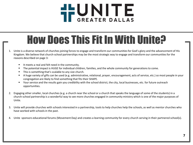

### How Does This Fit In With Unite?

- 1. Unite is a diverse network of churches joining forces to engage and transform our communities for God's glory and the advancement of His Kingdom. We believe that church-school partnerships may be the most strategic way to engage and transform our communities for the reasons described on page 3:
	- It meets a real and felt need in the community.
	- The potential impact is HUGE for individual children, families, and the whole community for generations to come.
	- **This is something that's scalable to any size church.**
	- A huge variety of gifts can be used (e.g. administrative, relational, prayer, encouragement, acts of service, etc.) so most people in your congregation are likely to find something that fits their SHAPE.
	- Your service and the results gain you credibility with the school district, the city, local businesses, etc. for future outreach opportunities.
- 2. Engaging other smaller, local churches (e.g. a church near the school or a church that speaks the language of some of the students) in a church-school partnership is a wonderful way to see more churches engaged in community ministry which is one of the major purposes of Unite.
- 3. Unite will provide churches with schools interested in a partnership, tools to help churches help the schools, as well as mentor churches who have worked with schools in the past.
- 4. Unite sponsors educational forums (Movement Day) and creates a learning community for every church serving in their partnered school(s).